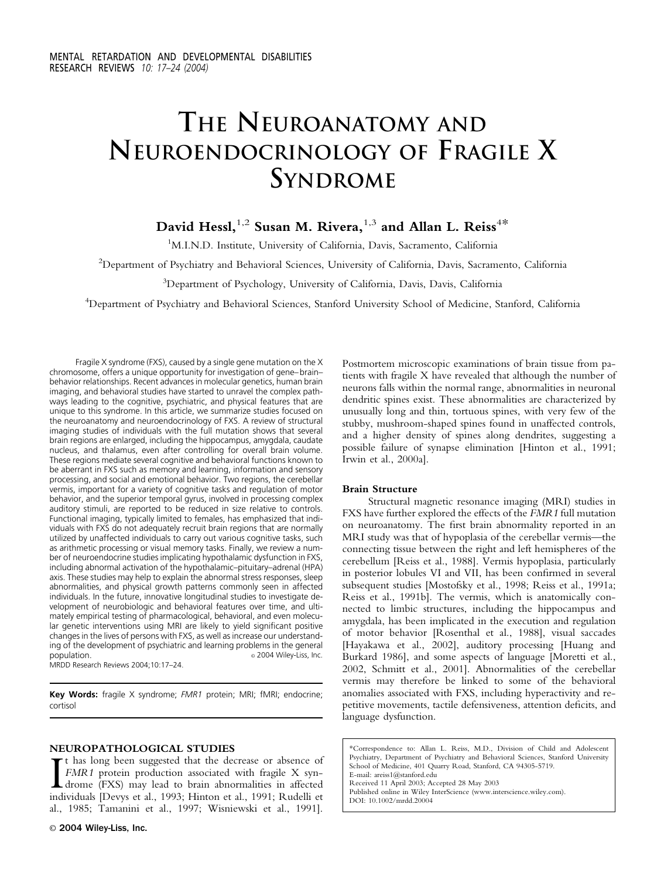# **THE NEUROANATOMY AND NEUROENDOCRINOLOGY OF FRAGILE X SYNDROME**

David Hessl,<sup>1,2</sup> Susan M. Rivera,<sup>1,3</sup> and Allan L. Reiss<sup>4\*</sup>

<sup>1</sup>M.I.N.D. Institute, University of California, Davis, Sacramento, California

<sup>2</sup>Department of Psychiatry and Behavioral Sciences, University of California, Davis, Sacramento, California

3 Department of Psychology, University of California, Davis, Davis, California

4 Department of Psychiatry and Behavioral Sciences, Stanford University School of Medicine, Stanford, California

Fragile X syndrome (FXS), caused by a single gene mutation on the X chromosome, offers a unique opportunity for investigation of gene– brain– behavior relationships. Recent advances in molecular genetics, human brain imaging, and behavioral studies have started to unravel the complex pathways leading to the cognitive, psychiatric, and physical features that are unique to this syndrome. In this article, we summarize studies focused on the neuroanatomy and neuroendocrinology of FXS. A review of structural imaging studies of individuals with the full mutation shows that several brain regions are enlarged, including the hippocampus, amygdala, caudate nucleus, and thalamus, even after controlling for overall brain volume. These regions mediate several cognitive and behavioral functions known to be aberrant in FXS such as memory and learning, information and sensory processing, and social and emotional behavior. Two regions, the cerebellar vermis, important for a variety of cognitive tasks and regulation of motor behavior, and the superior temporal gyrus, involved in processing complex auditory stimuli, are reported to be reduced in size relative to controls. Functional imaging, typically limited to females, has emphasized that individuals with FXS do not adequately recruit brain regions that are normally utilized by unaffected individuals to carry out various cognitive tasks, such as arithmetic processing or visual memory tasks. Finally, we review a number of neuroendocrine studies implicating hypothalamic dysfunction in FXS, including abnormal activation of the hypothalamic–pituitary–adrenal (HPA) axis. These studies may help to explain the abnormal stress responses, sleep abnormalities, and physical growth patterns commonly seen in affected individuals. In the future, innovative longitudinal studies to investigate development of neurobiologic and behavioral features over time, and ultimately empirical testing of pharmacological, behavioral, and even molecular genetic interventions using MRI are likely to yield significant positive changes in the lives of persons with FXS, as well as increase our understanding of the development of psychiatric and learning problems in the general population.  $\qquad \qquad \circ$  2004 Wiley-Liss, Inc. MRDD Research Reviews 2004;10:17–24.

**Key Words:** fragile X syndrome; *FMR1* protein; MRI; fMRI; endocrine; cortisol

#### **NEUROPATHOLOGICAL STUDIES**

I t has long been suggested that the decrease or absence of *FMR1* protein production associated with fragile X syndrome (FXS) may lead to brain abnormalities in affected individuals [Devys et al., 1993; Hinton et al., 1991; Rudelli et al., 1985; Tamanini et al., 1997; Wisniewski et al., 1991].

Postmortem microscopic examinations of brain tissue from patients with fragile X have revealed that although the number of neurons falls within the normal range, abnormalities in neuronal dendritic spines exist. These abnormalities are characterized by unusually long and thin, tortuous spines, with very few of the stubby, mushroom-shaped spines found in unaffected controls, and a higher density of spines along dendrites, suggesting a possible failure of synapse elimination [Hinton et al., 1991; Irwin et al., 2000a].

#### **Brain Structure**

Structural magnetic resonance imaging (MRI) studies in FXS have further explored the effects of the *FMR1* full mutation on neuroanatomy. The first brain abnormality reported in an MRI study was that of hypoplasia of the cerebellar vermis—the connecting tissue between the right and left hemispheres of the cerebellum [Reiss et al., 1988]. Vermis hypoplasia, particularly in posterior lobules VI and VII, has been confirmed in several subsequent studies [Mostofsky et al., 1998; Reiss et al., 1991a; Reiss et al., 1991b]. The vermis, which is anatomically connected to limbic structures, including the hippocampus and amygdala, has been implicated in the execution and regulation of motor behavior [Rosenthal et al., 1988], visual saccades [Hayakawa et al., 2002], auditory processing [Huang and Burkard 1986], and some aspects of language [Moretti et al., 2002, Schmitt et al., 2001]. Abnormalities of the cerebellar vermis may therefore be linked to some of the behavioral anomalies associated with FXS, including hyperactivity and repetitive movements, tactile defensiveness, attention deficits, and language dysfunction.

\*Correspondence to: Allan L. Reiss, M.D., Division of Child and Adolescent Psychiatry, Department of Psychiatry and Behavioral Sciences, Stanford University School of Medicine, 401 Quarry Road, Stanford, CA 94305-5719. E-mail: areiss1@stanford.edu Received 11 April 2003; Accepted 28 May 2003

Published online in Wiley InterScience (www.interscience.wiley.com).

DOI: 10.1002/mrdd.20004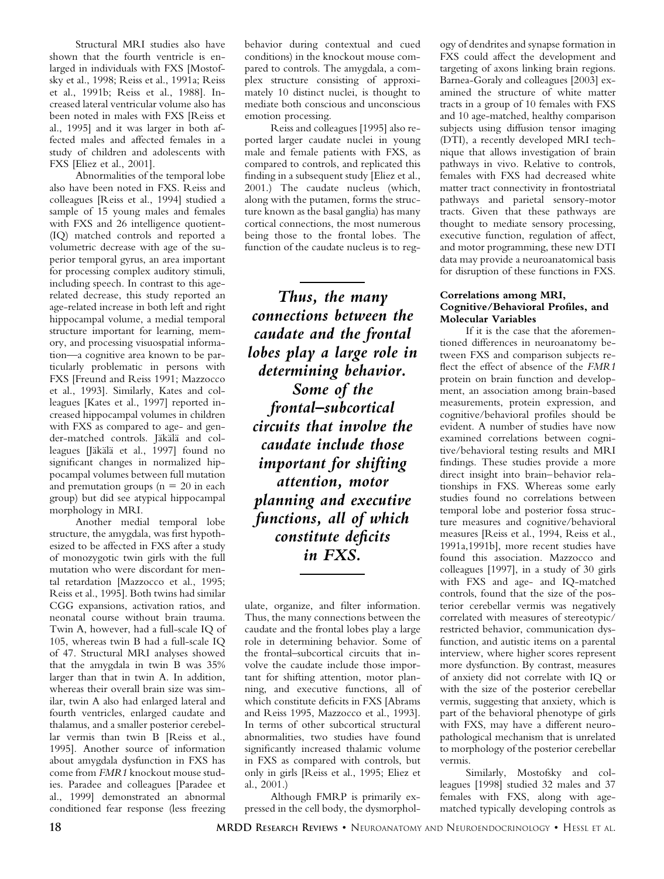Structural MRI studies also have shown that the fourth ventricle is enlarged in individuals with FXS [Mostofsky et al., 1998; Reiss et al., 1991a; Reiss et al., 1991b; Reiss et al., 1988]. Increased lateral ventricular volume also has been noted in males with FXS [Reiss et al., 1995] and it was larger in both affected males and affected females in a study of children and adolescents with FXS [Eliez et al., 2001].

Abnormalities of the temporal lobe also have been noted in FXS. Reiss and colleagues [Reiss et al., 1994] studied a sample of 15 young males and females with FXS and 26 intelligence quotient- (IQ) matched controls and reported a volumetric decrease with age of the superior temporal gyrus, an area important for processing complex auditory stimuli, including speech. In contrast to this agerelated decrease, this study reported an age-related increase in both left and right hippocampal volume, a medial temporal structure important for learning, memory, and processing visuospatial information—a cognitive area known to be particularly problematic in persons with FXS [Freund and Reiss 1991; Mazzocco et al., 1993]. Similarly, Kates and colleagues [Kates et al., 1997] reported increased hippocampal volumes in children with FXS as compared to age- and gender-matched controls. Jäkälä and colleagues [Jäkälä et al., 1997] found no significant changes in normalized hippocampal volumes between full mutation and premutation groups ( $n = 20$  in each group) but did see atypical hippocampal morphology in MRI.

Another medial temporal lobe structure, the amygdala, was first hypothesized to be affected in FXS after a study of monozygotic twin girls with the full mutation who were discordant for mental retardation [Mazzocco et al., 1995; Reiss et al., 1995]. Both twins had similar CGG expansions, activation ratios, and neonatal course without brain trauma. Twin A, however, had a full-scale IQ of 105, whereas twin B had a full-scale IQ of 47. Structural MRI analyses showed that the amygdala in twin B was 35% larger than that in twin A. In addition, whereas their overall brain size was similar, twin A also had enlarged lateral and fourth ventricles, enlarged caudate and thalamus, and a smaller posterior cerebellar vermis than twin B [Reiss et al., 1995]. Another source of information about amygdala dysfunction in FXS has come from *FMR1* knockout mouse studies. Paradee and colleagues [Paradee et al., 1999] demonstrated an abnormal conditioned fear response (less freezing

behavior during contextual and cued conditions) in the knockout mouse compared to controls. The amygdala, a complex structure consisting of approximately 10 distinct nuclei, is thought to mediate both conscious and unconscious emotion processing.

Reiss and colleagues [1995] also reported larger caudate nuclei in young male and female patients with FXS, as compared to controls, and replicated this finding in a subsequent study [Eliez et al., 2001.) The caudate nucleus (which, along with the putamen, forms the structure known as the basal ganglia) has many cortical connections, the most numerous being those to the frontal lobes. The function of the caudate nucleus is to reg-

*Thus, the many connections between the caudate and the frontal lobes play a large role in determining behavior. Some of the frontal–subcortical circuits that involve the caudate include those important for shifting attention, motor planning and executive functions, all of which constitute deficits in FXS.*

ulate, organize, and filter information. Thus, the many connections between the caudate and the frontal lobes play a large role in determining behavior. Some of the frontal–subcortical circuits that involve the caudate include those important for shifting attention, motor planning, and executive functions, all of which constitute deficits in FXS [Abrams and Reiss 1995, Mazzocco et al., 1993]. In terms of other subcortical structural abnormalities, two studies have found significantly increased thalamic volume in FXS as compared with controls, but only in girls [Reiss et al., 1995; Eliez et al., 2001.)

Although FMRP is primarily expressed in the cell body, the dysmorphology of dendrites and synapse formation in FXS could affect the development and targeting of axons linking brain regions. Barnea-Goraly and colleagues [2003] examined the structure of white matter tracts in a group of 10 females with FXS and 10 age-matched, healthy comparison subjects using diffusion tensor imaging (DTI), a recently developed MRI technique that allows investigation of brain pathways in vivo. Relative to controls, females with FXS had decreased white matter tract connectivity in frontostriatal pathways and parietal sensory-motor tracts. Given that these pathways are thought to mediate sensory processing, executive function, regulation of affect, and motor programming, these new DTI data may provide a neuroanatomical basis for disruption of these functions in FXS.

## **Correlations among MRI, Cognitive/Behavioral Profiles, and Molecular Variables**

If it is the case that the aforementioned differences in neuroanatomy between FXS and comparison subjects reflect the effect of absence of the *FMR1* protein on brain function and development, an association among brain-based measurements, protein expression, and cognitive/behavioral profiles should be evident. A number of studies have now examined correlations between cognitive/behavioral testing results and MRI findings. These studies provide a more direct insight into brain– behavior relationships in FXS. Whereas some early studies found no correlations between temporal lobe and posterior fossa structure measures and cognitive/behavioral measures [Reiss et al., 1994, Reiss et al., 1991a,1991b], more recent studies have found this association. Mazzocco and colleagues [1997], in a study of 30 girls with FXS and age- and IQ-matched controls, found that the size of the posterior cerebellar vermis was negatively correlated with measures of stereotypic/ restricted behavior, communication dysfunction, and autistic items on a parental interview, where higher scores represent more dysfunction. By contrast, measures of anxiety did not correlate with IQ or with the size of the posterior cerebellar vermis, suggesting that anxiety, which is part of the behavioral phenotype of girls with FXS, may have a different neuropathological mechanism that is unrelated to morphology of the posterior cerebellar vermis.

Similarly, Mostofsky and colleagues [1998] studied 32 males and 37 females with FXS, along with agematched typically developing controls as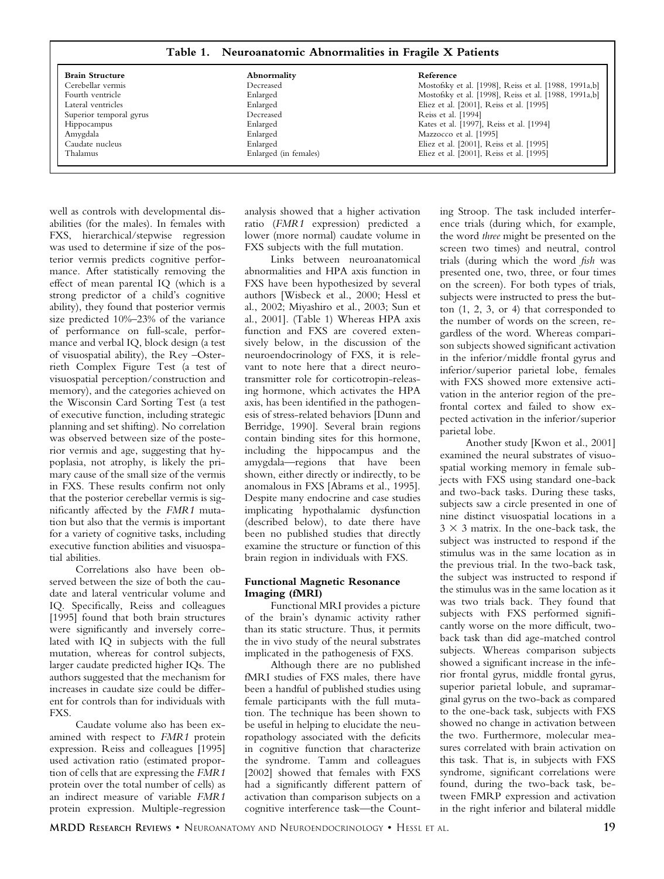#### **Table 1. Neuroanatomic Abnormalities in Fragile X Patients**

| <b>Brain Structure</b>  | Abnormality           | Reference                                             |
|-------------------------|-----------------------|-------------------------------------------------------|
| Cerebellar vermis       | Decreased             | Mostofsky et al. [1998], Reiss et al. [1988, 1991a,b] |
| Fourth ventricle        | Enlarged              | Mostofsky et al. [1998], Reiss et al. [1988, 1991a,b] |
| Lateral ventricles      | Enlarged              | Eliez et al. [2001], Reiss et al. [1995]              |
| Superior temporal gyrus | Decreased             | Reiss et al. [1994]                                   |
| Hippocampus             | Enlarged              | Kates et al. [1997], Reiss et al. [1994]              |
| Amygdala                | Enlarged              | Mazzocco et al. [1995]                                |
| Caudate nucleus         | Enlarged              | Eliez et al. [2001], Reiss et al. [1995]              |
| Thalamus                | Enlarged (in females) | Eliez et al. [2001], Reiss et al. [1995]              |
|                         |                       |                                                       |

well as controls with developmental disabilities (for the males). In females with FXS, hierarchical/stepwise regression was used to determine if size of the posterior vermis predicts cognitive performance. After statistically removing the effect of mean parental IQ (which is a strong predictor of a child's cognitive ability), they found that posterior vermis size predicted 10%–23% of the variance of performance on full-scale, performance and verbal IQ, block design (a test of visuospatial ability), the Rey –Osterrieth Complex Figure Test (a test of visuospatial perception/construction and memory), and the categories achieved on the Wisconsin Card Sorting Test (a test of executive function, including strategic planning and set shifting). No correlation was observed between size of the posterior vermis and age, suggesting that hypoplasia, not atrophy, is likely the primary cause of the small size of the vermis in FXS. These results confirm not only that the posterior cerebellar vermis is significantly affected by the *FMR1* mutation but also that the vermis is important for a variety of cognitive tasks, including executive function abilities and visuospatial abilities.

Correlations also have been observed between the size of both the caudate and lateral ventricular volume and IQ. Specifically, Reiss and colleagues [1995] found that both brain structures were significantly and inversely correlated with IQ in subjects with the full mutation, whereas for control subjects, larger caudate predicted higher IQs. The authors suggested that the mechanism for increases in caudate size could be different for controls than for individuals with FXS.

Caudate volume also has been examined with respect to *FMR1* protein expression. Reiss and colleagues [1995] used activation ratio (estimated proportion of cells that are expressing the *FMR1* protein over the total number of cells) as an indirect measure of variable *FMR1* protein expression. Multiple-regression

analysis showed that a higher activation ratio (*FMR1* expression) predicted a lower (more normal) caudate volume in FXS subjects with the full mutation.

Links between neuroanatomical abnormalities and HPA axis function in FXS have been hypothesized by several authors [Wisbeck et al., 2000; Hessl et al., 2002; Miyashiro et al., 2003; Sun et al., 2001]. (Table 1) Whereas HPA axis function and FXS are covered extensively below, in the discussion of the neuroendocrinology of FXS, it is relevant to note here that a direct neurotransmitter role for corticotropin-releasing hormone, which activates the HPA axis, has been identified in the pathogenesis of stress-related behaviors [Dunn and Berridge, 1990]. Several brain regions contain binding sites for this hormone, including the hippocampus and the amygdala—regions that have been shown, either directly or indirectly, to be anomalous in FXS [Abrams et al., 1995]. Despite many endocrine and case studies implicating hypothalamic dysfunction (described below), to date there have been no published studies that directly examine the structure or function of this brain region in individuals with FXS.

#### **Functional Magnetic Resonance Imaging (fMRI)**

Functional MRI provides a picture of the brain's dynamic activity rather than its static structure. Thus, it permits the in vivo study of the neural substrates implicated in the pathogenesis of FXS.

Although there are no published fMRI studies of FXS males, there have been a handful of published studies using female participants with the full mutation. The technique has been shown to be useful in helping to elucidate the neuropathology associated with the deficits in cognitive function that characterize the syndrome. Tamm and colleagues [2002] showed that females with FXS had a significantly different pattern of activation than comparison subjects on a cognitive interference task—the Counting Stroop. The task included interference trials (during which, for example, the word *three* might be presented on the screen two times) and neutral, control trials (during which the word *fish* was presented one, two, three, or four times on the screen). For both types of trials, subjects were instructed to press the button (1, 2, 3, or 4) that corresponded to the number of words on the screen, regardless of the word. Whereas comparison subjects showed significant activation in the inferior/middle frontal gyrus and inferior/superior parietal lobe, females with FXS showed more extensive activation in the anterior region of the prefrontal cortex and failed to show expected activation in the inferior/superior parietal lobe.

Another study [Kwon et al., 2001] examined the neural substrates of visuospatial working memory in female subjects with FXS using standard one-back and two-back tasks. During these tasks, subjects saw a circle presented in one of nine distinct visuospatial locations in a  $3 \times 3$  matrix. In the one-back task, the subject was instructed to respond if the stimulus was in the same location as in the previous trial. In the two-back task, the subject was instructed to respond if the stimulus was in the same location as it was two trials back. They found that subjects with FXS performed significantly worse on the more difficult, twoback task than did age-matched control subjects. Whereas comparison subjects showed a significant increase in the inferior frontal gyrus, middle frontal gyrus, superior parietal lobule, and supramarginal gyrus on the two-back as compared to the one-back task, subjects with FXS showed no change in activation between the two. Furthermore, molecular measures correlated with brain activation on this task. That is, in subjects with FXS syndrome, significant correlations were found, during the two-back task, between FMRP expression and activation in the right inferior and bilateral middle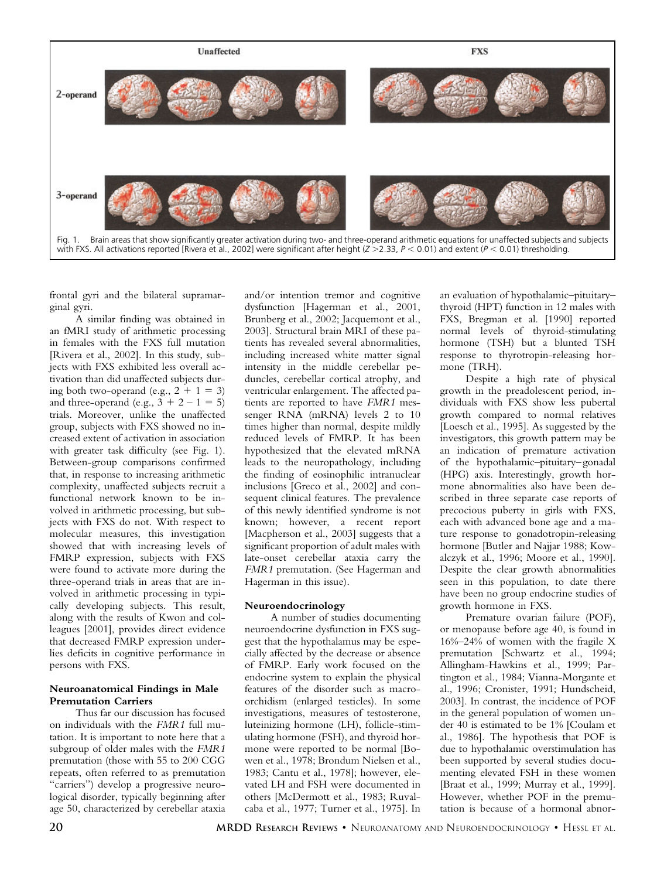

frontal gyri and the bilateral supramarginal gyri.

A similar finding was obtained in an fMRI study of arithmetic processing in females with the FXS full mutation [Rivera et al., 2002]. In this study, subjects with FXS exhibited less overall activation than did unaffected subjects during both two-operand (e.g.,  $2 + 1 = 3$ ) and three-operand (e.g.,  $3 + 2 - 1 = 5$ ) trials. Moreover, unlike the unaffected group, subjects with FXS showed no increased extent of activation in association with greater task difficulty (see Fig. 1). Between-group comparisons confirmed that, in response to increasing arithmetic complexity, unaffected subjects recruit a functional network known to be involved in arithmetic processing, but subjects with FXS do not. With respect to molecular measures, this investigation showed that with increasing levels of FMRP expression, subjects with FXS were found to activate more during the three-operand trials in areas that are involved in arithmetic processing in typically developing subjects. This result, along with the results of Kwon and colleagues [2001], provides direct evidence that decreased FMRP expression underlies deficits in cognitive performance in persons with FXS.

### **Neuroanatomical Findings in Male Premutation Carriers**

Thus far our discussion has focused on individuals with the *FMR1* full mutation. It is important to note here that a subgroup of older males with the *FMR1* premutation (those with 55 to 200 CGG repeats, often referred to as premutation "carriers") develop a progressive neurological disorder, typically beginning after age 50, characterized by cerebellar ataxia

and/or intention tremor and cognitive dysfunction [Hagerman et al., 2001, Brunberg et al., 2002; Jacquemont et al., 2003]. Structural brain MRI of these patients has revealed several abnormalities, including increased white matter signal intensity in the middle cerebellar peduncles, cerebellar cortical atrophy, and ventricular enlargement. The affected patients are reported to have *FMR1* messenger RNA (mRNA) levels 2 to 10 times higher than normal, despite mildly reduced levels of FMRP. It has been hypothesized that the elevated mRNA leads to the neuropathology, including the finding of eosinophilic intranuclear inclusions [Greco et al., 2002] and consequent clinical features. The prevalence of this newly identified syndrome is not known; however, a recent report [Macpherson et al., 2003] suggests that a significant proportion of adult males with late-onset cerebellar ataxia carry the *FMR1* premutation. (See Hagerman and Hagerman in this issue).

# **Neuroendocrinology**

A number of studies documenting neuroendocrine dysfunction in FXS suggest that the hypothalamus may be especially affected by the decrease or absence of FMRP. Early work focused on the endocrine system to explain the physical features of the disorder such as macroorchidism (enlarged testicles). In some investigations, measures of testosterone, luteinizing hormone (LH), follicle-stimulating hormone (FSH), and thyroid hormone were reported to be normal [Bowen et al., 1978; Brondum Nielsen et al., 1983; Cantu et al., 1978]; however, elevated LH and FSH were documented in others [McDermott et al., 1983; Ruvalcaba et al., 1977; Turner et al., 1975]. In

an evaluation of hypothalamic–pituitary– thyroid (HPT) function in 12 males with FXS, Bregman et al. [1990] reported normal levels of thyroid-stimulating hormone (TSH) but a blunted TSH response to thyrotropin-releasing hormone (TRH).

Despite a high rate of physical growth in the preadolescent period, individuals with FXS show less pubertal growth compared to normal relatives [Loesch et al., 1995]. As suggested by the investigators, this growth pattern may be an indication of premature activation of the hypothalamic–pituitary– gonadal (HPG) axis. Interestingly, growth hormone abnormalities also have been described in three separate case reports of precocious puberty in girls with FXS, each with advanced bone age and a mature response to gonadotropin-releasing hormone [Butler and Najjar 1988; Kowalczyk et al., 1996; Moore et al., 1990]. Despite the clear growth abnormalities seen in this population, to date there have been no group endocrine studies of growth hormone in FXS.

Premature ovarian failure (POF), or menopause before age 40, is found in 16%–24% of women with the fragile X premutation [Schwartz et al., 1994; Allingham-Hawkins et al., 1999; Partington et al., 1984; Vianna-Morgante et al., 1996; Cronister, 1991; Hundscheid, 2003]. In contrast, the incidence of POF in the general population of women under 40 is estimated to be 1% [Coulam et al., 1986]. The hypothesis that POF is due to hypothalamic overstimulation has been supported by several studies documenting elevated FSH in these women [Braat et al., 1999; Murray et al., 1999]. However, whether POF in the premutation is because of a hormonal abnor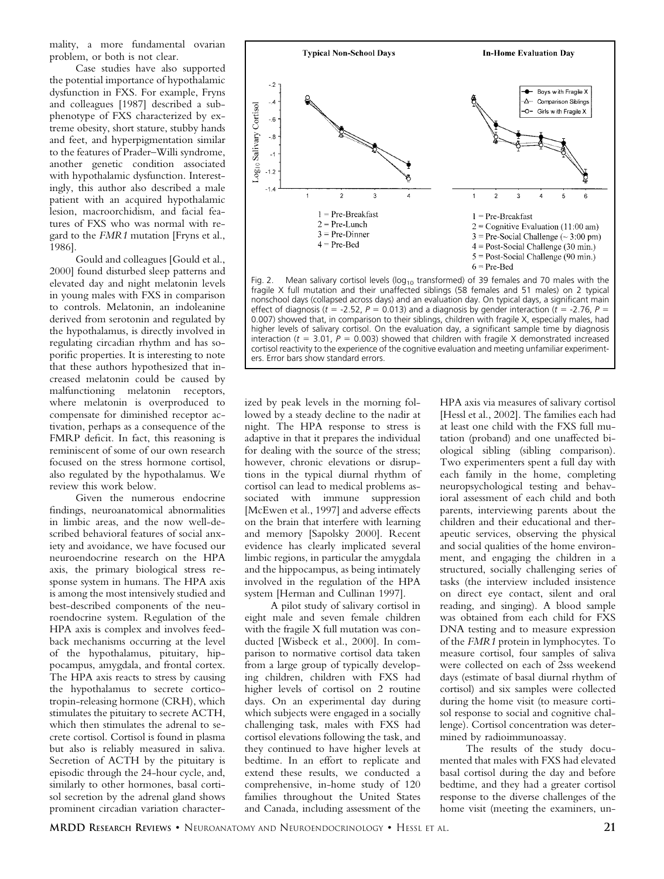mality, a more fundamental ovarian problem, or both is not clear.

Case studies have also supported the potential importance of hypothalamic dysfunction in FXS. For example, Fryns and colleagues [1987] described a subphenotype of FXS characterized by extreme obesity, short stature, stubby hands and feet, and hyperpigmentation similar to the features of Prader–Willi syndrome, another genetic condition associated with hypothalamic dysfunction. Interestingly, this author also described a male patient with an acquired hypothalamic lesion, macroorchidism, and facial features of FXS who was normal with regard to the *FMR1* mutation [Fryns et al., 1986].

Gould and colleagues [Gould et al., 2000] found disturbed sleep patterns and elevated day and night melatonin levels in young males with FXS in comparison to controls. Melatonin, an indoleanine derived from serotonin and regulated by the hypothalamus, is directly involved in regulating circadian rhythm and has soporific properties. It is interesting to note that these authors hypothesized that increased melatonin could be caused by malfunctioning melatonin receptors, where melatonin is overproduced to compensate for diminished receptor activation, perhaps as a consequence of the FMRP deficit. In fact, this reasoning is reminiscent of some of our own research focused on the stress hormone cortisol, also regulated by the hypothalamus. We review this work below.

Given the numerous endocrine findings, neuroanatomical abnormalities in limbic areas, and the now well-described behavioral features of social anxiety and avoidance, we have focused our neuroendocrine research on the HPA axis, the primary biological stress response system in humans. The HPA axis is among the most intensively studied and best-described components of the neuroendocrine system. Regulation of the HPA axis is complex and involves feedback mechanisms occurring at the level of the hypothalamus, pituitary, hippocampus, amygdala, and frontal cortex. The HPA axis reacts to stress by causing the hypothalamus to secrete corticotropin-releasing hormone (CRH), which stimulates the pituitary to secrete ACTH, which then stimulates the adrenal to secrete cortisol. Cortisol is found in plasma but also is reliably measured in saliva. Secretion of ACTH by the pituitary is episodic through the 24-hour cycle, and, similarly to other hormones, basal cortisol secretion by the adrenal gland shows prominent circadian variation character-



Fig. 2. Mean salivary cortisol levels ( $log_{10}$  transformed) of 39 females and 70 males with the fragile X full mutation and their unaffected siblings (58 females and 51 males) on 2 typical nonschool days (collapsed across days) and an evaluation day. On typical days, a significant main effect of diagnosis ( $t = -2.52$ ,  $P = 0.013$ ) and a diagnosis by gender interaction ( $t = -2.76$ ,  $P =$ 0.007) showed that, in comparison to their siblings, children with fragile X, especially males, had higher levels of salivary cortisol. On the evaluation day, a significant sample time by diagnosis interaction ( $t = 3.01$ ,  $P = 0.003$ ) showed that children with fragile X demonstrated increased cortisol reactivity to the experience of the cognitive evaluation and meeting unfamiliar experimenters. Error bars show standard errors.

ized by peak levels in the morning followed by a steady decline to the nadir at night. The HPA response to stress is adaptive in that it prepares the individual for dealing with the source of the stress; however, chronic elevations or disruptions in the typical diurnal rhythm of cortisol can lead to medical problems associated with immune suppression [McEwen et al., 1997] and adverse effects on the brain that interfere with learning and memory [Sapolsky 2000]. Recent evidence has clearly implicated several limbic regions, in particular the amygdala and the hippocampus, as being intimately involved in the regulation of the HPA system [Herman and Cullinan 1997].

A pilot study of salivary cortisol in eight male and seven female children with the fragile X full mutation was conducted [Wisbeck et al., 2000]. In comparison to normative cortisol data taken from a large group of typically developing children, children with FXS had higher levels of cortisol on 2 routine days. On an experimental day during which subjects were engaged in a socially challenging task, males with FXS had cortisol elevations following the task, and they continued to have higher levels at bedtime. In an effort to replicate and extend these results, we conducted a comprehensive, in-home study of 120 families throughout the United States and Canada, including assessment of the

HPA axis via measures of salivary cortisol [Hessl et al., 2002]. The families each had at least one child with the FXS full mutation (proband) and one unaffected biological sibling (sibling comparison). Two experimenters spent a full day with each family in the home, completing neuropsychological testing and behavioral assessment of each child and both parents, interviewing parents about the children and their educational and therapeutic services, observing the physical and social qualities of the home environment, and engaging the children in a structured, socially challenging series of tasks (the interview included insistence on direct eye contact, silent and oral reading, and singing). A blood sample was obtained from each child for FXS DNA testing and to measure expression of the *FMR1* protein in lymphocytes. To measure cortisol, four samples of saliva were collected on each of 2sss weekend days (estimate of basal diurnal rhythm of cortisol) and six samples were collected during the home visit (to measure cortisol response to social and cognitive challenge). Cortisol concentration was determined by radioimmunoassay.

The results of the study documented that males with FXS had elevated basal cortisol during the day and before bedtime, and they had a greater cortisol response to the diverse challenges of the home visit (meeting the examiners, un-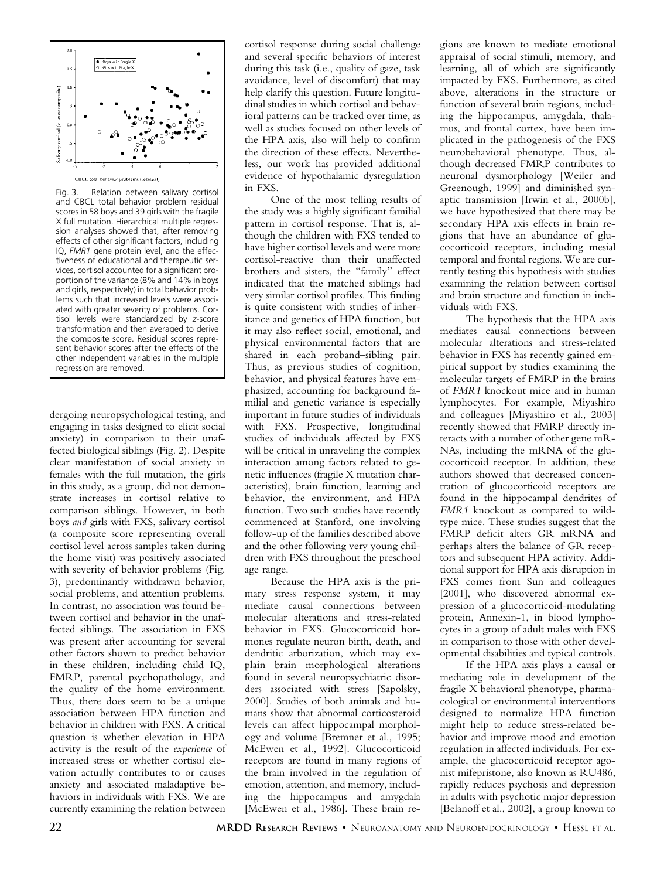

dergoing neuropsychological testing, and engaging in tasks designed to elicit social anxiety) in comparison to their unaffected biological siblings (Fig. 2). Despite clear manifestation of social anxiety in females with the full mutation, the girls in this study, as a group, did not demonstrate increases in cortisol relative to comparison siblings. However, in both boys *and* girls with FXS, salivary cortisol (a composite score representing overall cortisol level across samples taken during the home visit) was positively associated with severity of behavior problems (Fig. 3), predominantly withdrawn behavior, social problems, and attention problems. In contrast, no association was found between cortisol and behavior in the unaffected siblings. The association in FXS was present after accounting for several other factors shown to predict behavior in these children, including child IQ, FMRP, parental psychopathology, and the quality of the home environment. Thus, there does seem to be a unique association between HPA function and behavior in children with FXS. A critical question is whether elevation in HPA activity is the result of the *experience* of increased stress or whether cortisol elevation actually contributes to or causes anxiety and associated maladaptive behaviors in individuals with FXS. We are currently examining the relation between

cortisol response during social challenge and several specific behaviors of interest during this task (i.e., quality of gaze, task avoidance, level of discomfort) that may help clarify this question. Future longitudinal studies in which cortisol and behavioral patterns can be tracked over time, as well as studies focused on other levels of the HPA axis, also will help to confirm the direction of these effects. Nevertheless, our work has provided additional evidence of hypothalamic dysregulation in FXS.

One of the most telling results of the study was a highly significant familial pattern in cortisol response. That is, although the children with FXS tended to have higher cortisol levels and were more cortisol-reactive than their unaffected brothers and sisters, the "family" effect indicated that the matched siblings had very similar cortisol profiles. This finding is quite consistent with studies of inheritance and genetics of HPA function, but it may also reflect social, emotional, and physical environmental factors that are shared in each proband–sibling pair. Thus, as previous studies of cognition, behavior, and physical features have emphasized, accounting for background familial and genetic variance is especially important in future studies of individuals with FXS. Prospective, longitudinal studies of individuals affected by FXS will be critical in unraveling the complex interaction among factors related to genetic influences (fragile X mutation characteristics), brain function, learning and behavior, the environment, and HPA function. Two such studies have recently commenced at Stanford, one involving follow-up of the families described above and the other following very young children with FXS throughout the preschool age range.

Because the HPA axis is the primary stress response system, it may mediate causal connections between molecular alterations and stress-related behavior in FXS. Glucocorticoid hormones regulate neuron birth, death, and dendritic arborization, which may explain brain morphological alterations found in several neuropsychiatric disorders associated with stress [Sapolsky, 2000]. Studies of both animals and humans show that abnormal corticosteroid levels can affect hippocampal morphology and volume [Bremner et al., 1995; McEwen et al., 1992]. Glucocorticoid receptors are found in many regions of the brain involved in the regulation of emotion, attention, and memory, including the hippocampus and amygdala [McEwen et al., 1986]. These brain regions are known to mediate emotional appraisal of social stimuli, memory, and learning, all of which are significantly impacted by FXS. Furthermore, as cited above, alterations in the structure or function of several brain regions, including the hippocampus, amygdala, thalamus, and frontal cortex, have been implicated in the pathogenesis of the FXS neurobehavioral phenotype. Thus, although decreased FMRP contributes to neuronal dysmorphology [Weiler and Greenough, 1999] and diminished synaptic transmission [Irwin et al., 2000b], we have hypothesized that there may be secondary HPA axis effects in brain regions that have an abundance of glucocorticoid receptors, including mesial temporal and frontal regions. We are currently testing this hypothesis with studies examining the relation between cortisol and brain structure and function in individuals with FXS.

The hypothesis that the HPA axis mediates causal connections between molecular alterations and stress-related behavior in FXS has recently gained empirical support by studies examining the molecular targets of FMRP in the brains of *FMR1* knockout mice and in human lymphocytes. For example, Miyashiro and colleagues [Miyashiro et al., 2003] recently showed that FMRP directly interacts with a number of other gene mR-NAs, including the mRNA of the glucocorticoid receptor. In addition, these authors showed that decreased concentration of glucocorticoid receptors are found in the hippocampal dendrites of *FMR1* knockout as compared to wildtype mice. These studies suggest that the FMRP deficit alters GR mRNA and perhaps alters the balance of GR receptors and subsequent HPA activity. Additional support for HPA axis disruption in FXS comes from Sun and colleagues [2001], who discovered abnormal expression of a glucocorticoid-modulating protein, Annexin-1, in blood lymphocytes in a group of adult males with FXS in comparison to those with other developmental disabilities and typical controls.

If the HPA axis plays a causal or mediating role in development of the fragile X behavioral phenotype, pharmacological or environmental interventions designed to normalize HPA function might help to reduce stress-related behavior and improve mood and emotion regulation in affected individuals. For example, the glucocorticoid receptor agonist mifepristone, also known as RU486, rapidly reduces psychosis and depression in adults with psychotic major depression [Belanoff et al., 2002], a group known to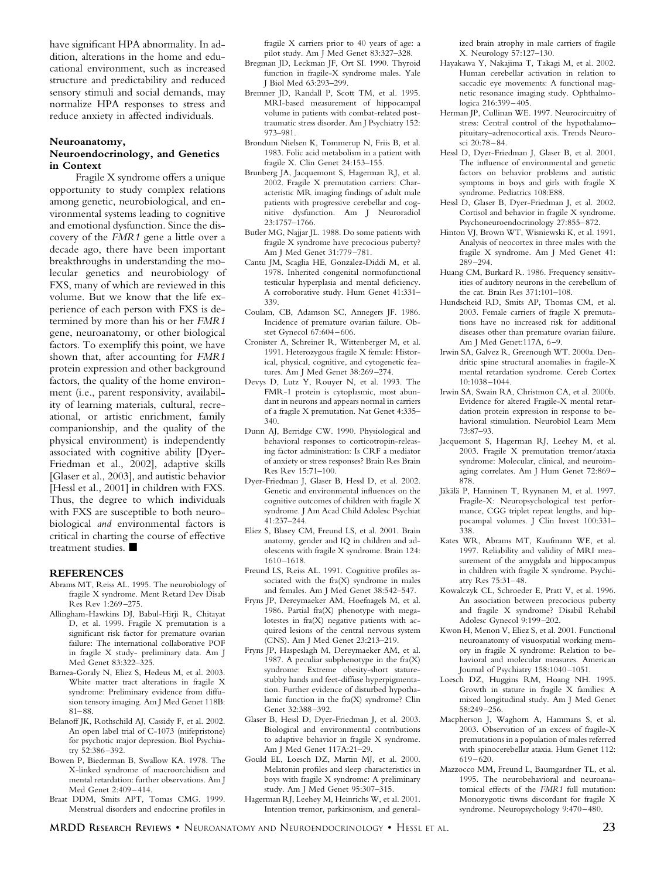have significant HPA abnormality. In addition, alterations in the home and educational environment, such as increased structure and predictability and reduced sensory stimuli and social demands, may normalize HPA responses to stress and reduce anxiety in affected individuals.

#### **Neuroanatomy,**

## **Neuroendocrinology, and Genetics in Context**

Fragile X syndrome offers a unique opportunity to study complex relations among genetic, neurobiological, and environmental systems leading to cognitive and emotional dysfunction. Since the discovery of the *FMR1* gene a little over a decade ago, there have been important breakthroughs in understanding the molecular genetics and neurobiology of FXS, many of which are reviewed in this volume. But we know that the life experience of each person with FXS is determined by more than his or her *FMR1* gene, neuroanatomy, or other biological factors. To exemplify this point, we have shown that, after accounting for *FMR1* protein expression and other background factors, the quality of the home environment (i.e., parent responsivity, availability of learning materials, cultural, recreational, or artistic enrichment, family companionship, and the quality of the physical environment) is independently associated with cognitive ability [Dyer-Friedman et al., 2002], adaptive skills [Glaser et al., 2003], and autistic behavior [Hessl et al., 2001] in children with FXS. Thus, the degree to which individuals with FXS are susceptible to both neurobiological *and* environmental factors is critical in charting the course of effective treatment studies.

#### **REFERENCES**

- Abrams MT, Reiss AL. 1995. The neurobiology of fragile X syndrome. Ment Retard Dev Disab Res Rev 1:269 –275.
- Allingham-Hawkins DJ, Babul-Hirji R, Chitayat D, et al. 1999. Fragile X premutation is a significant risk factor for premature ovarian failure: The international collaborative POF in fragile X study- preliminary data. Am J Med Genet 83:322–325.
- Barnea-Goraly N, Eliez S, Hedeus M, et al. 2003. White matter tract alterations in fragile X syndrome: Preliminary evidence from diffusion tensory imaging. Am J Med Genet 118B: 81–88.
- Belanoff JK, Rothschild AJ, Cassidy F, et al. 2002. An open label trial of C-1073 (mifepristone) for psychotic major depression. Biol Psychiatry 52:386 –392.
- Bowen P, Biederman B, Swallow KA. 1978. The X-linked syndrome of macroorchidism and mental retardation: further observations. Am J Med Genet 2:409 –414.
- Braat DDM, Smits APT, Tomas CMG. 1999. Menstrual disorders and endocrine profiles in

fragile X carriers prior to 40 years of age: a pilot study. Am J Med Genet 83:327–328.

- Bregman JD, Leckman JF, Ort SI. 1990. Thyroid function in fragile-X syndrome males. Yale J Biol Med 63:293–299.
- Bremner JD, Randall P, Scott TM, et al. 1995. MRI-based measurement of hippocampal volume in patients with combat-related posttraumatic stress disorder. Am J Psychiatry 152: 973–981.
- Brondum Nielsen K, Tommerup N, Friis B, et al. 1983. Folic acid metabolism in a patient with fragile X. Clin Genet 24:153–155.
- Brunberg JA, Jacquemont S, Hagerman RJ, et al. 2002. Fragile X premutation carriers: Characteristic MR imaging findings of adult male patients with progressive cerebellar and cognitive dysfunction. Am J Neuroradiol 23:1757–1766.
- Butler MG, Najjar JL. 1988. Do some patients with fragile X syndrome have precocious puberty? Am J Med Genet 31:779 –781.
- Cantu JM, Scaglia HE, Gonzalez-Diddi M, et al. 1978. Inherited congenital normofunctional testicular hyperplasia and mental deficiency. A corroborative study. Hum Genet 41:331– 339.
- Coulam, CB, Adamson SC, Annegers JF. 1986. Incidence of premature ovarian failure. Obstet Gynecol 67:604 –606.
- Cronister A, Schreiner R, Wittenberger M, et al. 1991. Heterozygous fragile X female: Historical, physical, cognitive, and cytogenetic features. Am J Med Genet 38:269 –274.
- Devys D, Lutz Y, Rouyer N, et al. 1993. The FMR-1 protein is cytoplasmic, most abundant in neurons and appears normal in carriers of a fragile X premutation. Nat Genet 4:335– 340.
- Dunn AJ, Berridge CW. 1990. Physiological and behavioral responses to corticotropin-releasing factor administration: Is CRF a mediator of anxiety or stress responses? Brain Res Brain Res Rev 15:71–100.
- Dyer-Friedman J, Glaser B, Hessl D, et al. 2002. Genetic and environmental influences on the cognitive outcomes of children with fragile X syndrome. J Am Acad Child Adolesc Psychiat 41:237–244.
- Eliez S, Blasey CM, Freund LS, et al. 2001. Brain anatomy, gender and IQ in children and adolescents with fragile X syndrome. Brain 124: 1610 –1618.
- Freund LS, Reiss AL. 1991. Cognitive profiles associated with the fra(X) syndrome in males and females. Am J Med Genet 38:542–547.
- Fryns JP, Dereymaeker AM, Hoefnagels M, et al. 1986. Partial fra(X) phenotype with megalotestes in fra(X) negative patients with acquired lesions of the central nervous system (CNS). Am J Med Genet 23:213–219.
- Fryns JP, Haspeslagh M, Dereymaeker AM, et al. 1987. A peculiar subphenotype in the  $fra(X)$ syndrome: Extreme obesity-short staturestubby hands and feet-diffuse hyperpigmentation. Further evidence of disturbed hypothalamic function in the fra(X) syndrome? Clin Genet 32:388 –392.
- Glaser B, Hessl D, Dyer-Friedman J, et al. 2003. Biological and environmental contributions to adaptive behavior in fragile X syndrome. Am J Med Genet 117A:21–29.
- Gould EL, Loesch DZ, Martin MJ, et al. 2000. Melatonin profiles and sleep characteristics in boys with fragile X syndrome: A preliminary study. Am J Med Genet 95:307–315.
- Hagerman RJ, Leehey M, Heinrichs W, et al. 2001. Intention tremor, parkinsonism, and general-

ized brain atrophy in male carriers of fragile X. Neurology 57:127–130.

- Hayakawa Y, Nakajima T, Takagi M, et al. 2002. Human cerebellar activation in relation to saccadic eye movements: A functional magnetic resonance imaging study. Ophthalmologica 216:399-405.
- Herman JP, Cullinan WE. 1997. Neurocircuitry of stress: Central control of the hypothalamo– pituitary–adrenocortical axis. Trends Neurosci 20:78 –84.
- Hessl D, Dyer-Friedman J, Glaser B, et al. 2001. The influence of environmental and genetic factors on behavior problems and autistic symptoms in boys and girls with fragile X syndrome. Pediatrics 108:E88.
- Hessl D, Glaser B, Dyer-Friedman J, et al. 2002. Cortisol and behavior in fragile X syndrome. Psychoneuroendocrinology 27:855–872.
- Hinton VJ, Brown WT, Wisniewski K, et al. 1991. Analysis of neocortex in three males with the fragile X syndrome. Am J Med Genet 41: 289 –294.
- Huang CM, Burkard R. 1986. Frequency sensitivities of auditory neurons in the cerebellum of the cat. Brain Res 371:101–108.
- Hundscheid RD, Smits AP, Thomas CM, et al. 2003. Female carriers of fragile X premutations have no increased risk for additional diseases other than premature ovarian failure. Am J Med Genet:117A, 6 –9.
- Irwin SA, Galvez R, Greenough WT. 2000a. Dendritic spine structural anomalies in fragile-X mental retardation syndrome. Cereb Cortex 10:1038 –1044.
- Irwin SA, Swain RA, Christmon CA, et al. 2000b. Evidence for altered Fragile-X mental retardation protein expression in response to behavioral stimulation. Neurobiol Learn Mem 73:87–93.
- Jacquemont S, Hagerman RJ, Leehey M, et al. 2003. Fragile X premutation tremor/ataxia syndrome: Molecular, clinical, and neuroimaging correlates. Am J Hum Genet 72:869 – 878.
- Jäkälä P, Hanninen T, Ryynanen M, et al. 1997. Fragile-X: Neuropsychological test performance, CGG triplet repeat lengths, and hippocampal volumes. J Clin Invest 100:331– 338.
- Kates WR, Abrams MT, Kaufmann WE, et al. 1997. Reliability and validity of MRI measurement of the amygdala and hippocampus in children with fragile X syndrome. Psychiatry Res 75:31–48.
- Kowalczyk CL, Schroeder E, Pratt V, et al. 1996. An association between precocious puberty and fragile X syndrome? Disabil Rehabil Adolesc Gynecol 9:199 –202.
- Kwon H, Menon V, Eliez S, et al. 2001. Functional neuroanatomy of visuospatial working memory in fragile X syndrome: Relation to behavioral and molecular measures. American Journal of Psychiatry 158:1040-1051.
- Loesch DZ, Huggins RM, Hoang NH. 1995. Growth in stature in fragile X families: A mixed longitudinal study. Am J Med Genet 58:249 –256.
- Macpherson J, Waghorn A, Hammans S, et al. 2003. Observation of an excess of fragile-X premutations in a population of males referred with spinocerebellar ataxia. Hum Genet 112:  $619 - 620.$
- Mazzocco MM, Freund L, Baumgardner TL, et al. 1995. The neurobehavioral and neuroanatomical effects of the *FMR1* full mutation: Monozygotic tiwns discordant for fragile X syndrome. Neuropsychology 9:470-480.